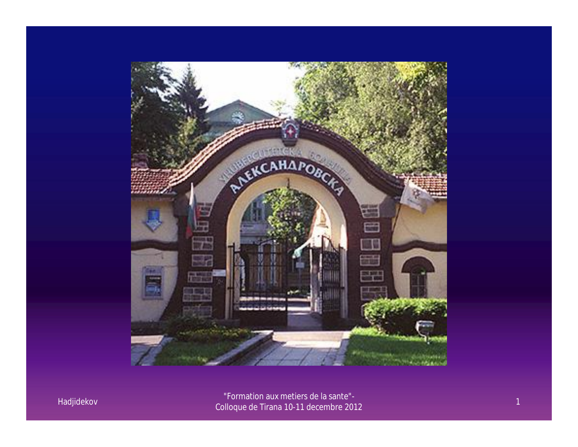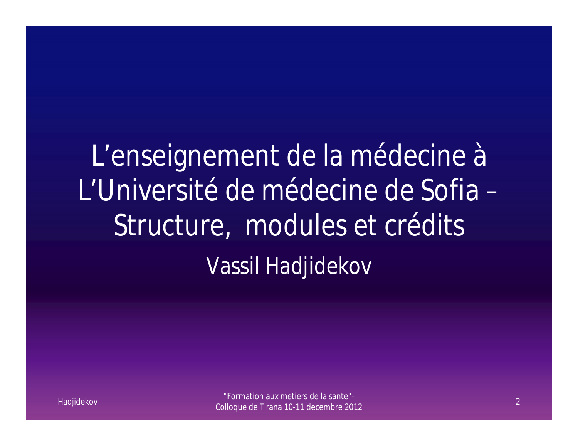L'enseignement de la médecine à L'Université de médecine de Sofia – Structure, modules et crédits Vassil Hadjidekov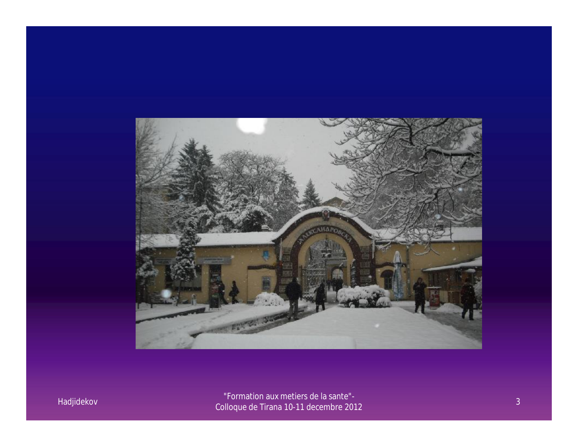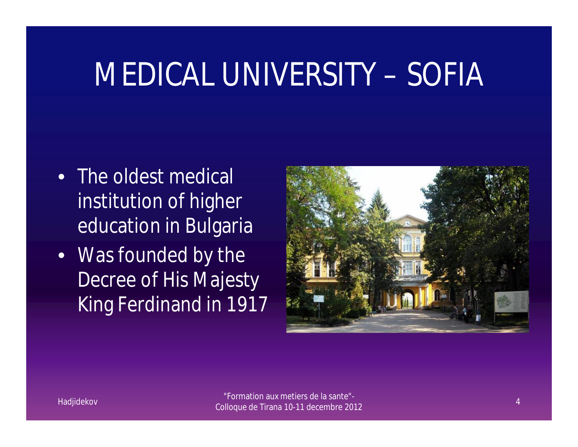- The oldest medical institution of higher education in Bulgaria
- Was founded by the Decree of His Majesty King Ferdinand in 1917

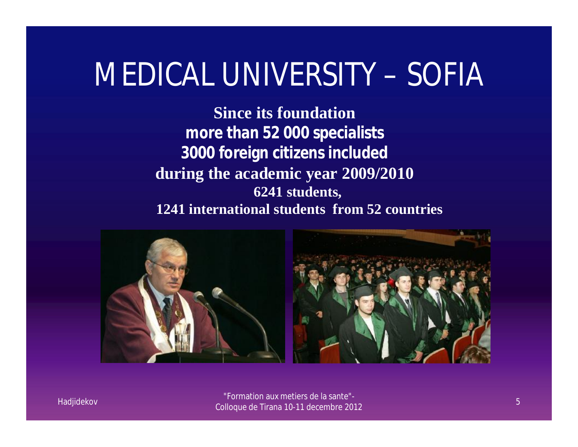**Since its foundation more than 52 000 specialists 3000 foreign citizens included during the academic year 2009/2010 6241 students, 1241 international students from 52 countries**

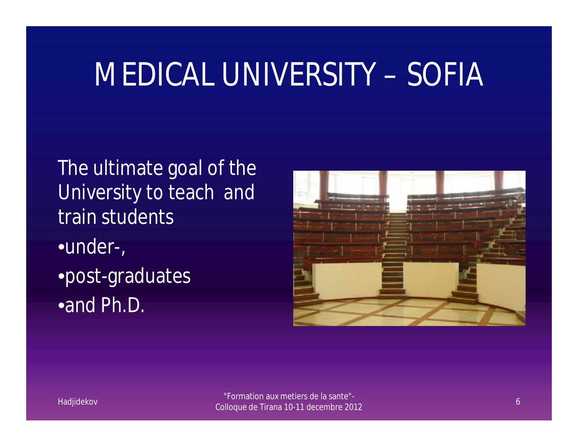The ultimate goal of the University to teach and train students •under-, •post-graduates •and Ph.D.

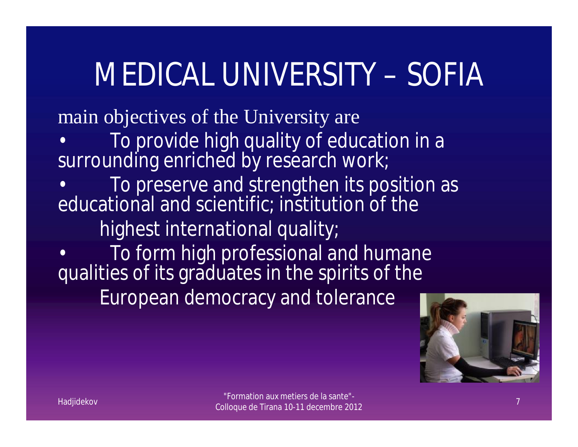main objectives of the University are

- To provide high quality of education in a surrounding enriched by research work;
- To preserve and strengthen its position as educational and scientific; institution of the highest international quality;

• To form high professional and humane qualities of its graduates in the spirits of the European democracy and tolerance

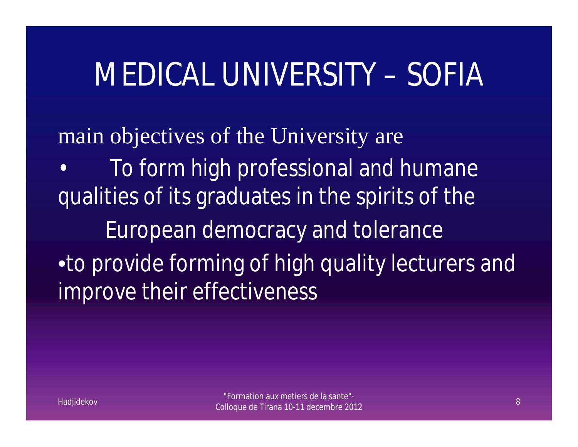main objectives of the University are • To form high professional and humane qualities of its graduates in the spirits of the European democracy and tolerance •to provide forming of high quality lecturers and improve their effectiveness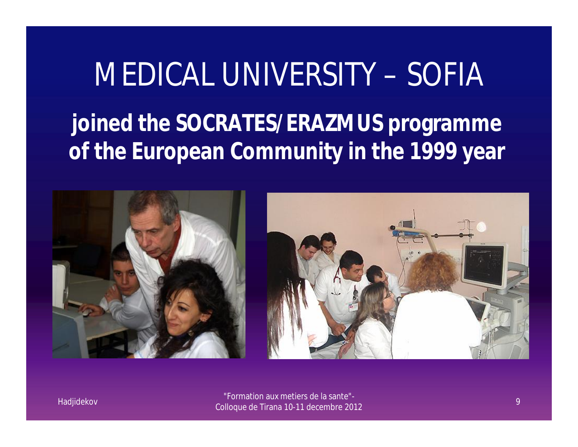#### **joined the SOCRATES/ERAZMUS programme of the European Community in the 1999 year**



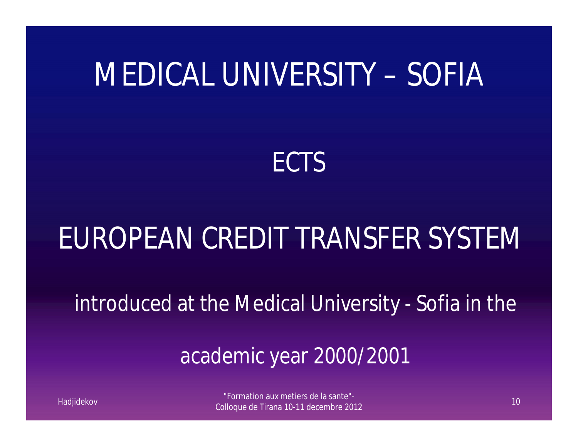

#### EUROPEAN CREDIT TRANSFER SYSTEM

introduced at the Medical University - Sofia in the

#### academic year 2000/2001

Hadjidekov

"Formation aux metiers de la sante"- Colloque de Tirana 10-11 decembre <sup>2012</sup> <sup>10</sup>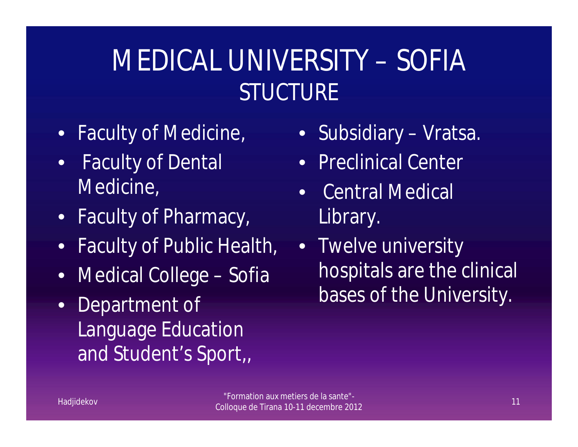#### MEDICAL UNIVERSITY – SOFIA **STUCTURE**

- Faculty of Medicine,
- Faculty of Dental Medicine,
- Faculty of Pharmacy,
- Faculty of Public Health,
- Medical College Sofia
- Department of Language Education and Student's Sport,,
- Subsidiary Vratsa.
- Preclinical Center
- Central Medical Library.
- **Twelve university** hospitals are the clinical bases of the University.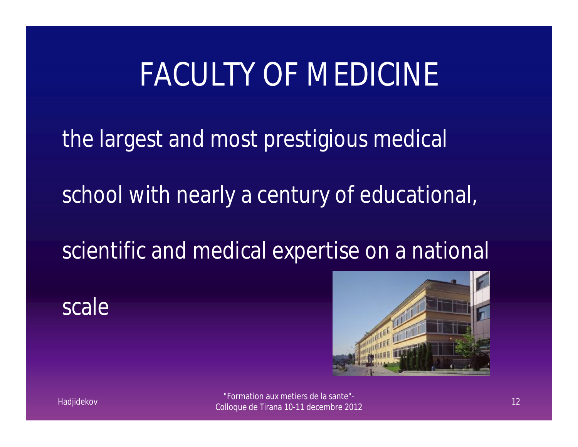the largest and most prestigious medical

school with nearly a century of educational,

scientific and medical expertise on a national



scale

"Formation aux metiers de la sante" n ormation aux meticis de la sante 12<br>Colloque de Tirana 10-11 decembre 2012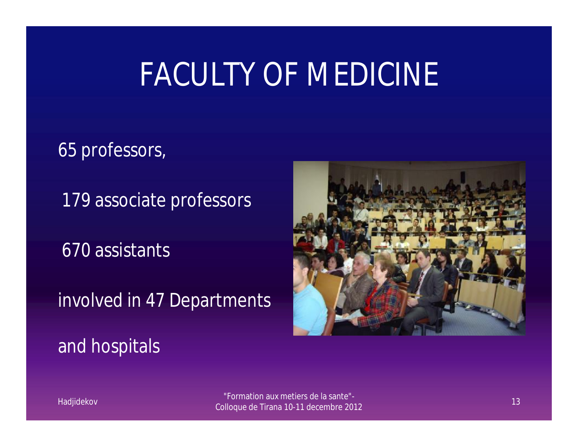#### 65 professors,

179 associate professors

670 assistants

involved in 47 Departments

and hospitals

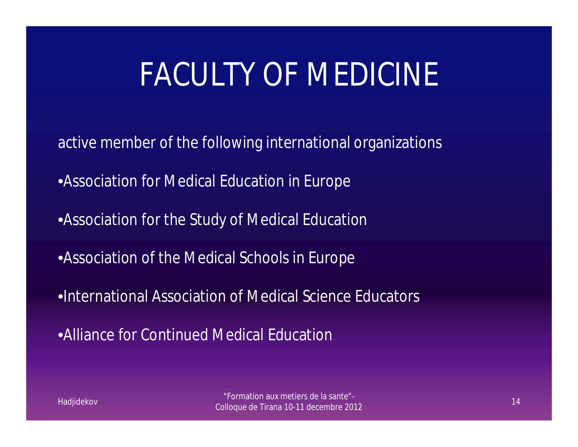active member of the following international organizations •Association for Medical Education in Europe •Association for the Study of Medical Education •Association of the Medical Schools in Europe •International Association of Medical Science Educators •Alliance for Continued Medical Education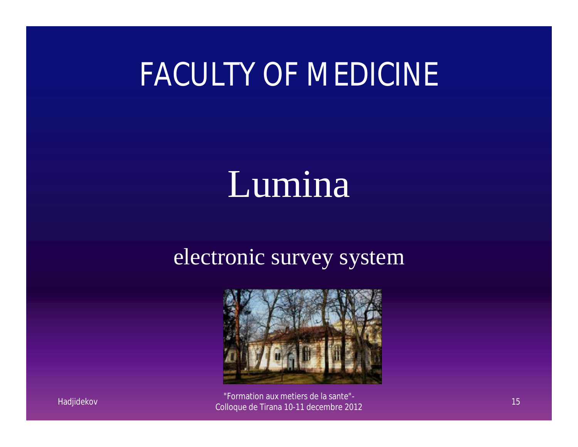# Lumina

#### electronic survey system



"Formation aux metiers de la sante"- Tomation aux metiers de la sante 1988.<br>Colloque de Tirana 10-11 decembre 2012

Hadjidekov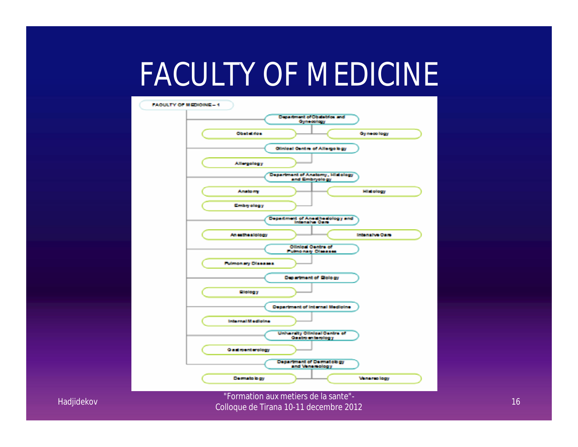

"Formation aux metiers de la sante"- Colloque de Tirana 10-11 decembre 2012<br>Colloque de Tirana 10-11 decembre 2012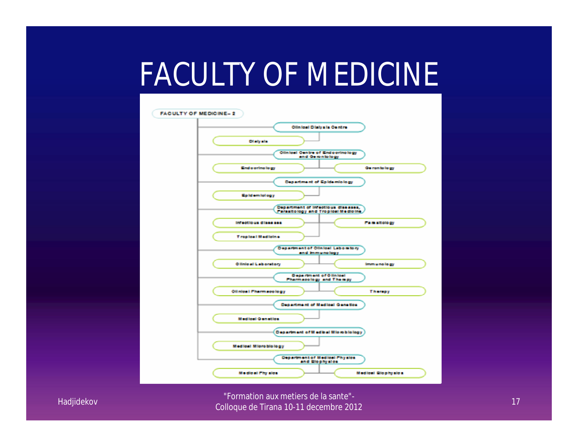

"Formation aux metiers de la sante"- Tomation aux metiers de la sante 1988.<br>Colloque de Tirana 10-11 decembre 2012

Hadjidekov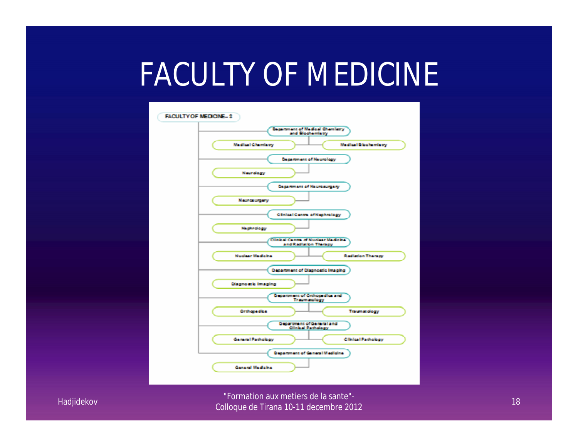

"Formation aux metiers de la sante"- Tomation aux metiers de la sante -<br>Colloque de Tirana 10-11 decembre 2012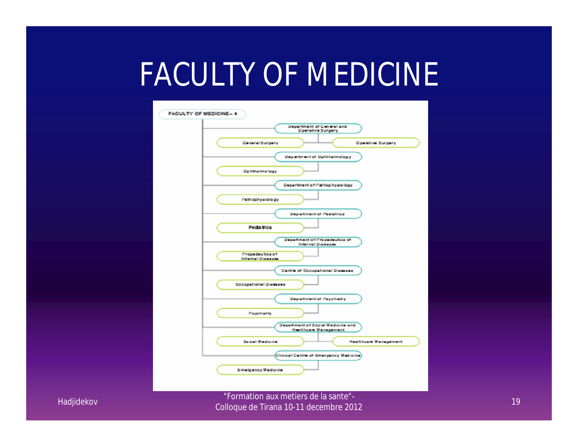

"Formation aux metiers de la sante"- Tomation aux metiers de la sante -<br>Colloque de Tirana 10-11 decembre 2012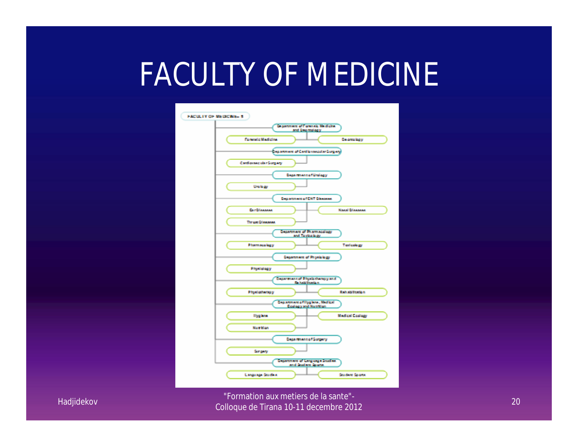| Department of Forenoic Neitherla                            |
|-------------------------------------------------------------|
| and Decembers:                                              |
| <b>Famoula Madales</b><br><b>Creamed logist</b>             |
| <b>Department of Cardians adapt Surgery</b>                 |
| Cardiovano als r Surgury                                    |
| Department of Unslegal                                      |
| <b>Unaft av</b>                                             |
| <b>Department of CNT Diseases</b>                           |
| <b>Nazzi Dissanzi</b><br><b>Cordinates</b>                  |
| Thrase Classess                                             |
| <b>Department of Pharmacology</b><br>and Taskalage          |
| Pharmacalogy<br>Textcology                                  |
| Department of Physiciage                                    |
| Physicial eggy                                              |
| Department of Physic thereorien d<br>Re habilitado n        |
| <b>Rebublication</b><br>Physicalstarapy                     |
| Department of Hopkins, Madical<br>Coolean and Number        |
| <b>Medical Ecology</b><br><b>Hyplene</b>                    |
| <b>Northan</b>                                              |
| Department of Surgery                                       |
| Sanaway                                                     |
| <b>Department of Language Studies</b><br>and Studers Sports |
|                                                             |

"Formation aux metiers de la sante"- Colloque de Tirana 10-11 decembre <sup>2012</sup> <sup>20</sup>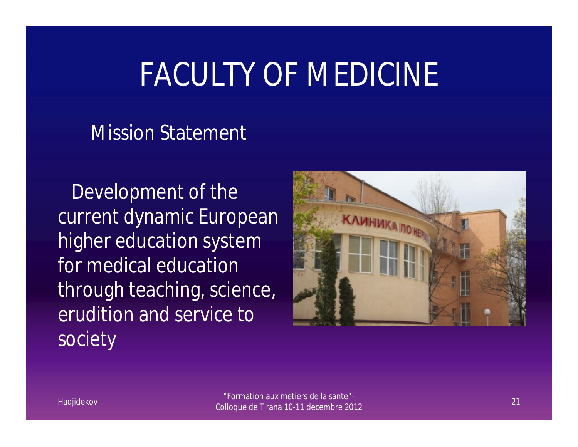#### **Mission Statement**

Development of the current dynamic European higher education system for medical education through teaching, science, erudition and service to society

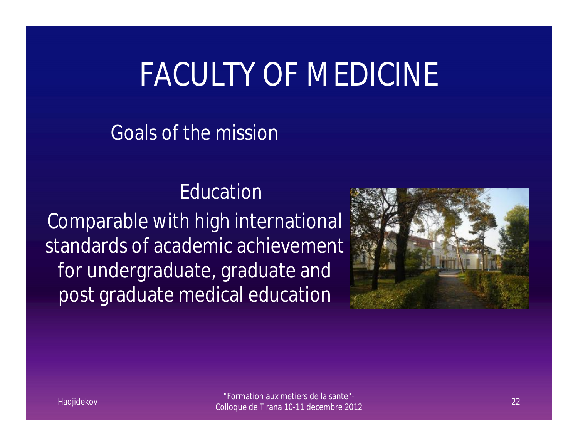#### Goals of the mission

#### Education

Comparable with high international standards of academic achievement for undergraduate, graduate and post graduate medical education

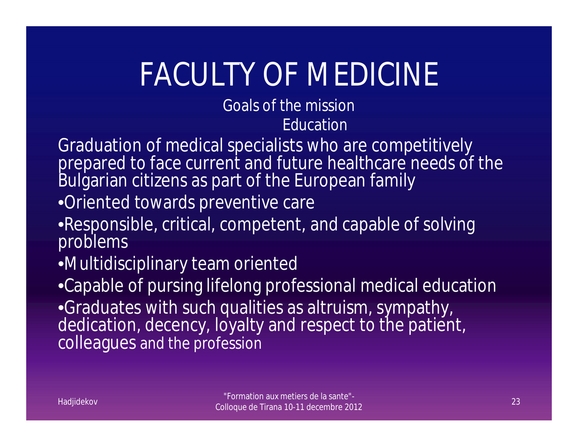Goals of the mission Education

- Graduation of medical specialists who are competitively prepared to face current and future healthcare needs of the Bulgarian citizens as part of the European family
- •Oriented towards preventive care
- •Responsible, critical, competent, and capable of solving problems
- •Multidisciplinary team oriented

•Capable of pursing lifelong professional medical education •Graduates with such qualities as altruism, sympathy, dedication, decency, loyalty and respect to the patient, colleagues and the profession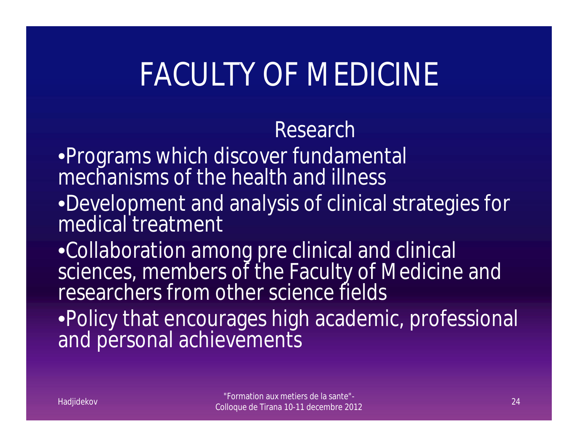#### Research

•Programs which discover fundamental mechanisms of the health and illness •Development and analysis of clinical strategies for medical treatment

•Collaboration among pre clinical and clinical sciences, members of the Faculty of Medicine and researchers from other science fields •Policy that encourages high academic, professional

and personal achievements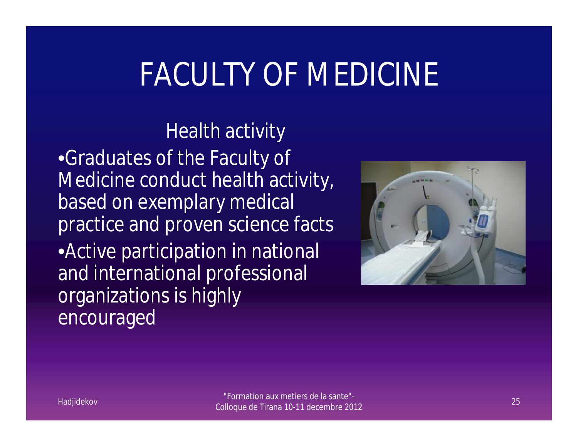#### Health activity

•Graduates of the Faculty of Medicine conduct health activity, based on exemplary medical practice and proven science facts •Active participation in national and international professional organizations is highly encouraged

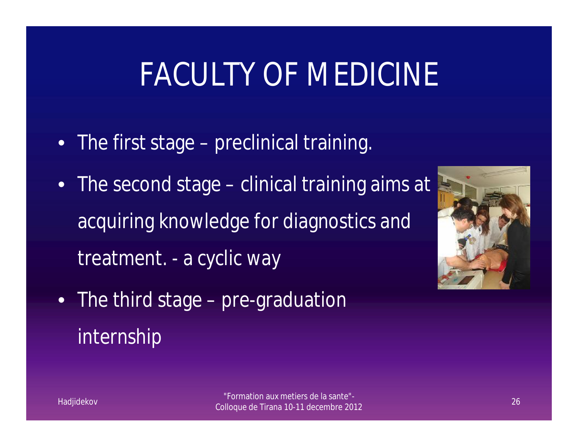- The first stage preclinical training.
- The second stage clinical training aims at acquiring knowledge for diagnostics and treatment. - a cyclic way



• The third stage – pre-graduation internship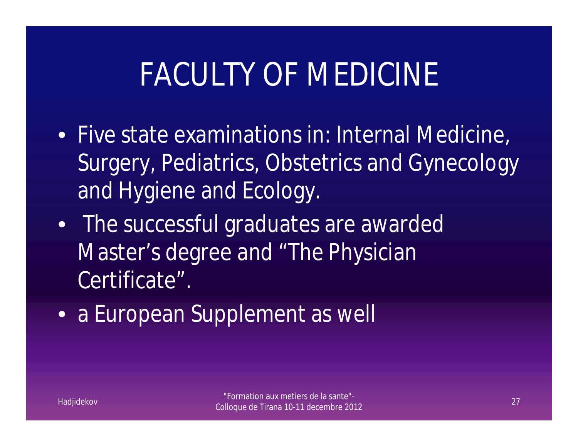- Five state examinations in: Internal Medicine, Surgery, Pediatrics, Obstetrics and Gynecology and Hygiene and Ecology.
- The successful graduates are awarded Master's degree and "The Physician Certificate".
- a European Supplement as well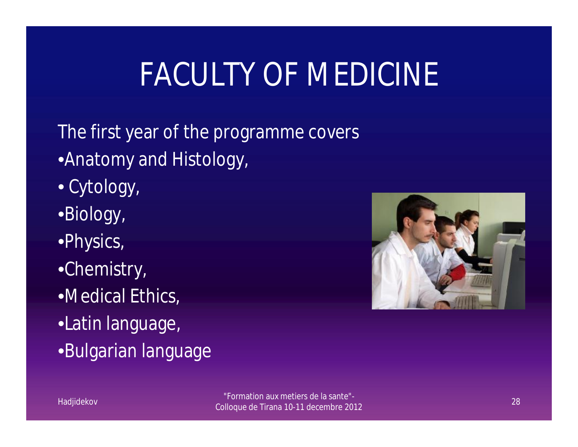The first year of the programme covers •Anatomy and Histology, • Cytology, •Biology, •Physics, •Chemistry, •Medical Ethics, •Latin language, •Bulgarian language

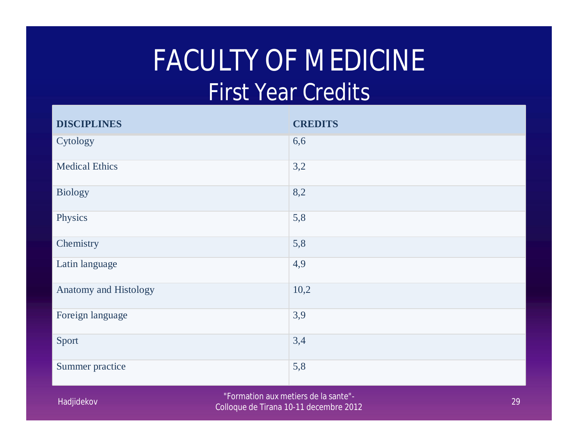#### FACULTY OF MEDICINE First Year Credits

| <b>DISCIPLINES</b>    | <b>CREDITS</b>                             |
|-----------------------|--------------------------------------------|
| Cytology              | 6,6                                        |
| <b>Medical Ethics</b> | 3,2                                        |
| <b>Biology</b>        | 8,2                                        |
| Physics               | 5,8                                        |
| Chemistry             | 5,8                                        |
| Latin language        | 4,9                                        |
| Anatomy and Histology | 10,2                                       |
| Foreign language      | 3,9                                        |
| Sport                 | 3,4                                        |
| Summer practice       | 5,8                                        |
| <b>LIAMINALOW</b>     | "Formation aux metiers de la sante"-<br>ാവ |

Colloque de Tirana 10-11 decembre 2012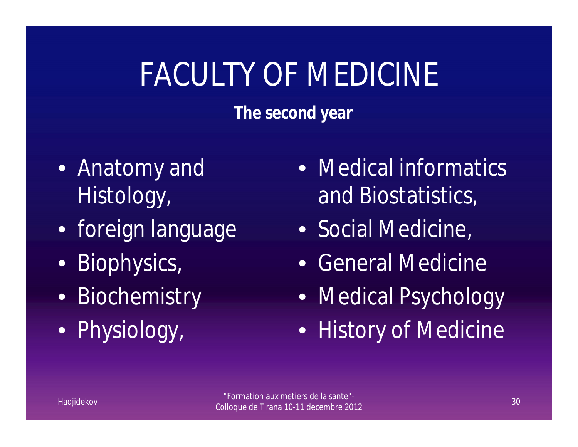**The second year** 

- Anatomy and Histology,
- foreign language
- Biophysics,
- Biochemistry
- Physiology,
- Medical informatics and Biostatistics,
- Social Medicine,
- General Medicine
- Medical Psychology
- History of Medicine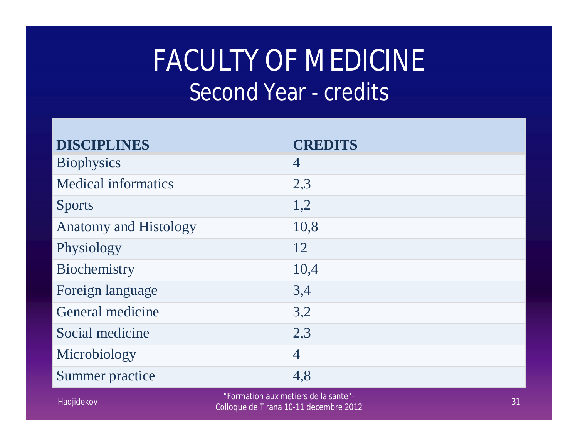#### FACULTY OF MEDICINE Second Year - credits

| <b>DISCIPLINES</b>           |  | <b>CREDITS</b>                                                                 |    |
|------------------------------|--|--------------------------------------------------------------------------------|----|
| <b>Biophysics</b>            |  | $\overline{4}$                                                                 |    |
| <b>Medical informatics</b>   |  | 2,3                                                                            |    |
| <b>Sports</b>                |  | 1,2                                                                            |    |
| <b>Anatomy and Histology</b> |  | 10,8                                                                           |    |
| Physiology                   |  | 12                                                                             |    |
| Biochemistry                 |  | 10,4                                                                           |    |
| Foreign language             |  | 3,4                                                                            |    |
| General medicine             |  | 3,2                                                                            |    |
| Social medicine              |  | 2,3                                                                            |    |
| Microbiology                 |  | $\overline{4}$                                                                 |    |
| <b>Summer practice</b>       |  | 4,8                                                                            |    |
| Hadjidekov                   |  | "Formation aux metiers de la sante"-<br>Colloque de Tirana 10-11 decembre 2012 | 31 |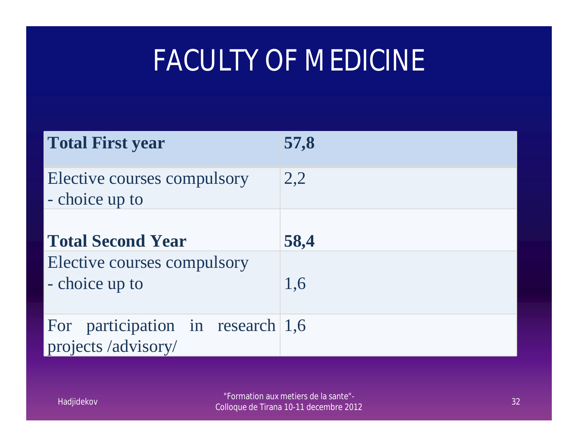| <b>Total First year</b>                                    | 57,8 |
|------------------------------------------------------------|------|
| Elective courses compulsory<br>- choice up to              | 2,2  |
| <b>Total Second Year</b>                                   | 58,4 |
| Elective courses compulsory<br>- choice up to              | 1,6  |
| For participation in research $1,6$<br>projects /advisory/ |      |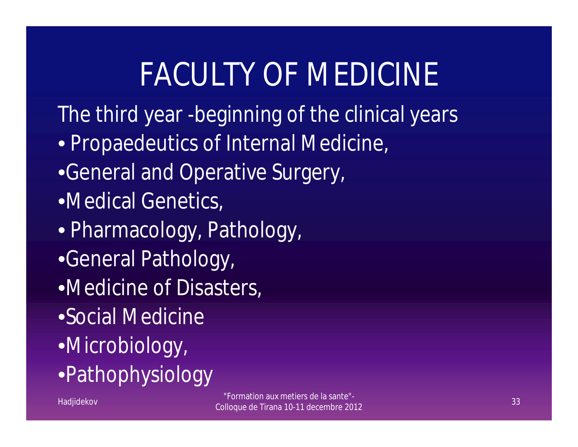The third year -beginning of the clinical years • Propaedeutics of Internal Medicine, •General and Operative Surgery, •Medical Genetics, • Pharmacology, Pathology, •General Pathology, •Medicine of Disasters, •Social Medicine •Microbiology, •Pathophysiology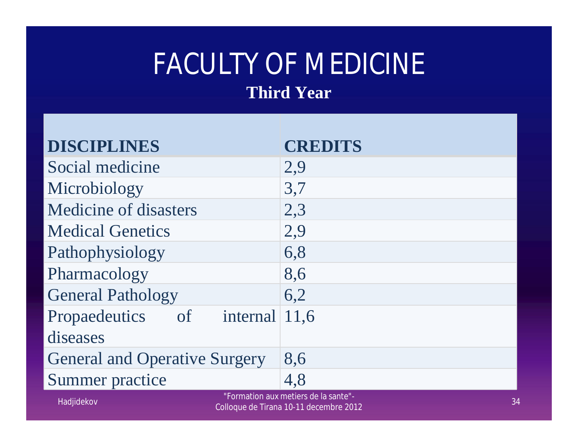#### **Third Year**

| <b>DISCIPLINES</b>                   | <b>CREDITS</b>                                                                 |
|--------------------------------------|--------------------------------------------------------------------------------|
| Social medicine                      | 2,9                                                                            |
| Microbiology                         | 3,7                                                                            |
| <b>Medicine of disasters</b>         | 2,3                                                                            |
| <b>Medical Genetics</b>              | 2,9                                                                            |
| Pathophysiology                      | 6,8                                                                            |
| Pharmacology                         | 8,6                                                                            |
| <b>General Pathology</b>             | 6,2                                                                            |
| Propaedeutics<br>internal 11,6<br>of |                                                                                |
| diseases                             |                                                                                |
| <b>General and Operative Surgery</b> | 8,6                                                                            |
| <b>Summer practice</b>               | 4,8                                                                            |
| <b>Hadjidekov</b>                    | "Formation aux metiers de la sante"-<br>Colloque de Tirana 10-11 decembre 2012 |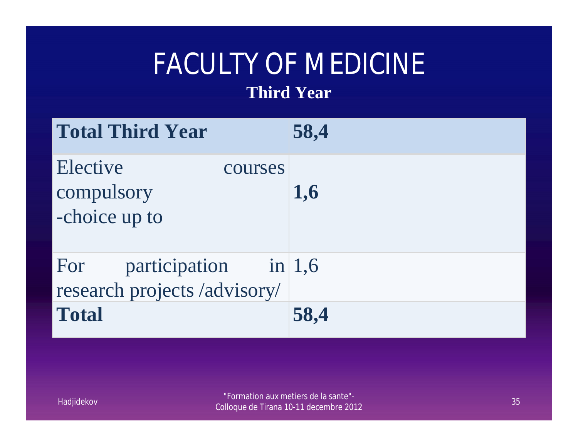#### **Third Year**

| <b>Total Third Year</b>                                       | 58,4 |
|---------------------------------------------------------------|------|
| Elective<br>courses<br>compulsory<br>-choice up to            | 1,6  |
| participation in $1,6$<br>For<br>research projects /advisory/ |      |
| <b>Total</b>                                                  | 58,4 |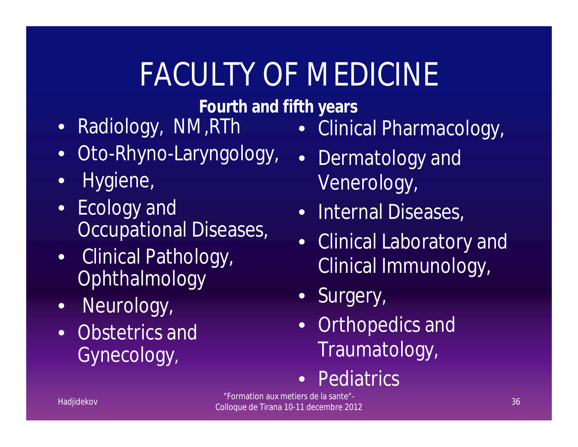#### **Fourth and fifth years**

- Radiology, NM,RTh
- Oto-Rhyno-Laryngology,
- Hygiene,
- Ecology and Occupational Diseases,
- Clinical Pathology, **Ophthalmology**
- Neurology,
- Obstetrics and Gynecology,
- Clinical Pharmacology,
- Dermatology and Venerology,
- Internal Diseases,
- Clinical Laboratory and Clinical Immunology,
- Surgery,
- Orthopedics and Traumatology,
- **Pediatrics**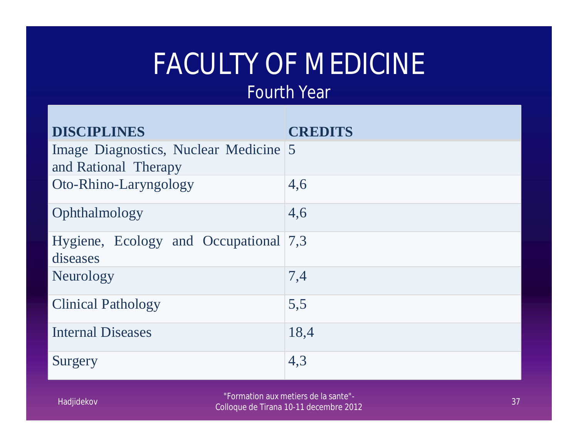#### Fourth Year

| <b>DISCIPLINES</b>                                            | <b>CREDITS</b> |
|---------------------------------------------------------------|----------------|
| Image Diagnostics, Nuclear Medicine 5<br>and Rational Therapy |                |
| Oto-Rhino-Laryngology                                         | 4,6            |
| Ophthalmology                                                 | 4,6            |
| Hygiene, Ecology and Occupational 7,3<br>diseases             |                |
| Neurology                                                     | 7,4            |
| <b>Clinical Pathology</b>                                     | 5,5            |
| <b>Internal Diseases</b>                                      | 18,4           |
| Surgery                                                       | 4,3            |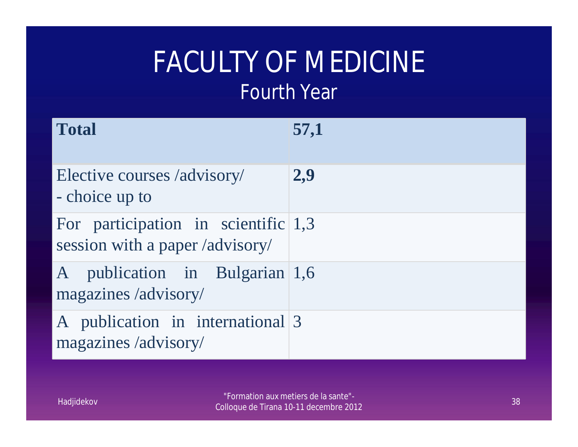#### FACULTY OF MEDICINE Fourth Year

| <b>Total</b>                                                             | 57,1 |
|--------------------------------------------------------------------------|------|
| Elective courses /advisory/<br>- choice up to                            | 2,9  |
| For participation in scientific $1,3$<br>session with a paper /advisory/ |      |
| A publication in Bulgarian 1,6<br>magazines /advisory/                   |      |
| A publication in international 3<br>magazines /advisory/                 |      |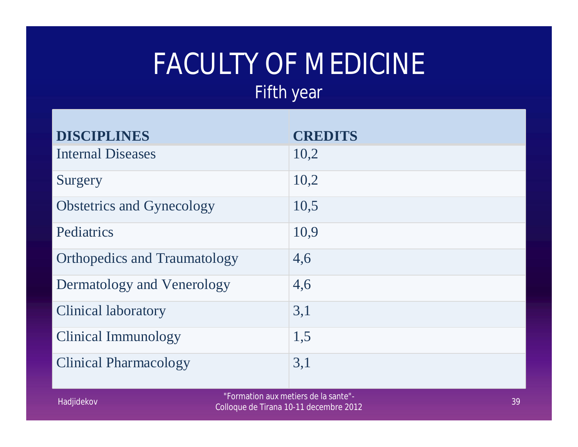#### **Fifth year**

| <b>DISCIPLINES</b>                  | <b>CREDITS</b> |
|-------------------------------------|----------------|
| <b>Internal Diseases</b>            | 10,2           |
| Surgery                             | 10,2           |
| <b>Obstetrics and Gynecology</b>    | 10,5           |
| Pediatrics                          | 10,9           |
| <b>Orthopedics and Traumatology</b> | 4,6            |
| Dermatology and Venerology          | 4,6            |
| <b>Clinical laboratory</b>          | 3,1            |
| <b>Clinical Immunology</b>          | 1,5            |
| <b>Clinical Pharmacology</b>        | 3,1            |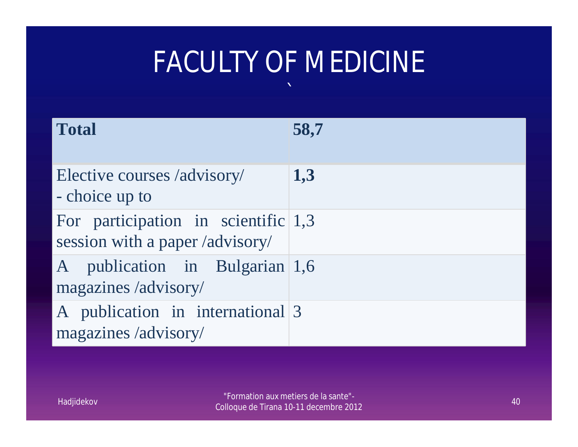`

| <b>Total</b>                                                           | 58,7 |
|------------------------------------------------------------------------|------|
| Elective courses /advisory/<br>- choice up to                          | 1,3  |
| For participation in scientific 1,3<br>session with a paper /advisory/ |      |
| A publication in Bulgarian 1,6<br>magazines /advisory/                 |      |
| A publication in international 3<br>magazines /advisory/               |      |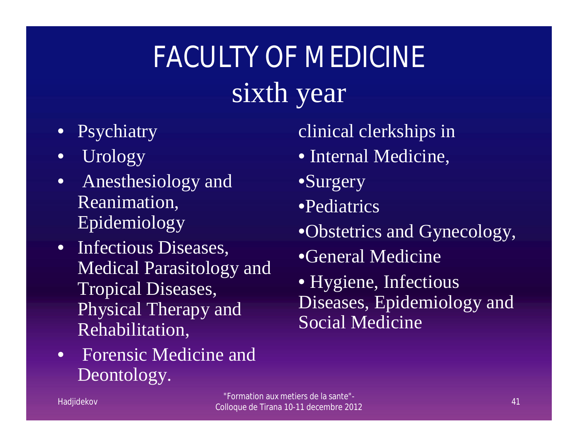# FACULTY OF MEDICINE sixth year

- **Psychiatry**
- Urology
- Anesthesiology and Reanimation, Epidemiology
- Infectious Diseases, Medical Parasitology and Tropical Diseases, Physical Therapy and Rehabilitation,
- Forensic Medicine and Deontology.

clinical clerkships in

- Internal Medicine,
- •Surgery
- •Pediatrics
- •Obstetrics and Gynecology,
- •General Medicine
- Hygiene, Infectious Diseases, Epidemiology and Social Medicine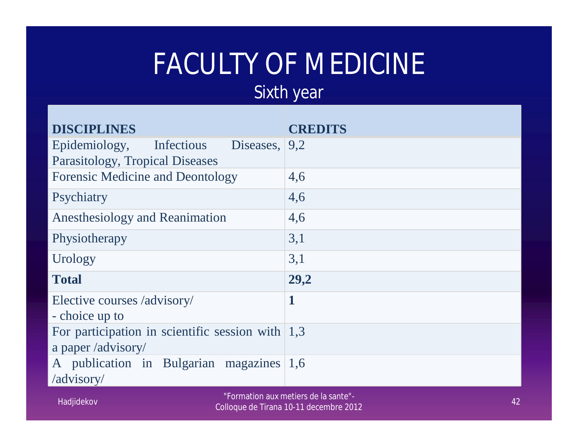#### Sixth year

| <b>DISCIPLINES</b>                                         | <b>CREDITS</b> |
|------------------------------------------------------------|----------------|
| Epidemiology, Infectious Diseases, 9,2                     |                |
| Parasitology, Tropical Diseases                            |                |
| <b>Forensic Medicine and Deontology</b>                    | 4,6            |
| Psychiatry                                                 | 4,6            |
| Anesthesiology and Reanimation                             | 4,6            |
| Physiotherapy                                              | 3,1            |
| Urology                                                    | 3,1            |
| <b>Total</b>                                               | 29,2           |
| Elective courses /advisory/                                | 1              |
| - choice up to                                             |                |
| For participation in scientific session with $ 1,3\rangle$ |                |
| a paper /advisory/                                         |                |
| A publication in Bulgarian magazines 1,6                   |                |
| /advisory/                                                 |                |
|                                                            |                |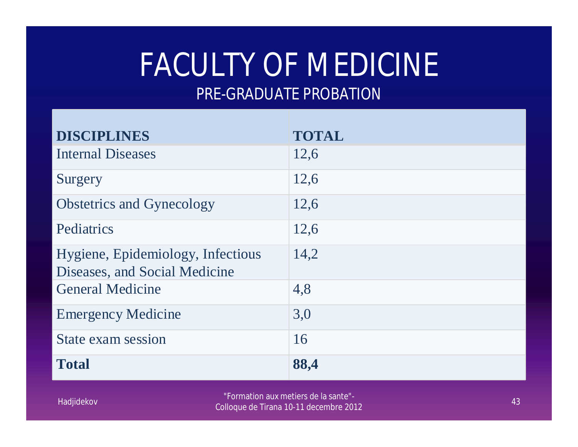#### PRE-GRADUATE PROBATION

| <b>DISCIPLINES</b>                                                 | <b>TOTAL</b> |
|--------------------------------------------------------------------|--------------|
| <b>Internal Diseases</b>                                           | 12,6         |
| Surgery                                                            | 12,6         |
| <b>Obstetrics and Gynecology</b>                                   | 12,6         |
| Pediatrics                                                         | 12,6         |
| Hygiene, Epidemiology, Infectious<br>Diseases, and Social Medicine | 14,2         |
| <b>General Medicine</b>                                            | 4,8          |
| <b>Emergency Medicine</b>                                          | 3,0          |
| State exam session                                                 | 16           |
| <b>Total</b>                                                       | 88,4         |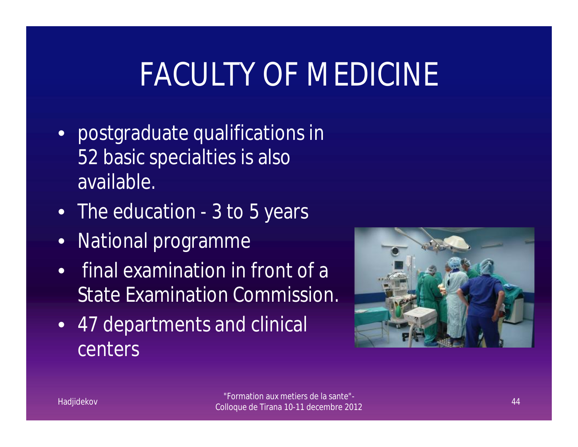- postgraduate qualifications in 52 basic specialties is also available.
- The education 3 to 5 years
- National programme
- final examination in front of a State Examination Commission.
- 47 departments and clinical centers

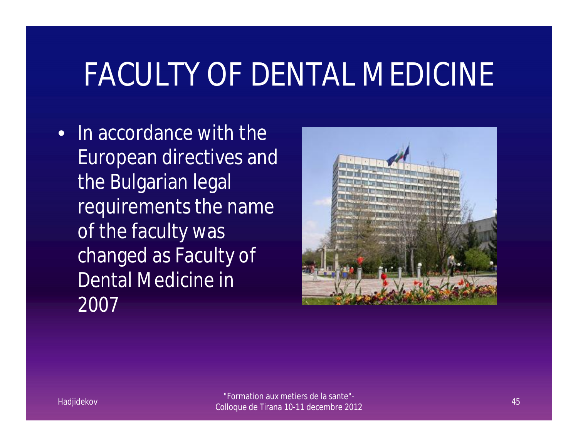• In accordance with the European directives and the Bulgarian legal requirements the name of the faculty was changed as Faculty of Dental Medicine in 2007

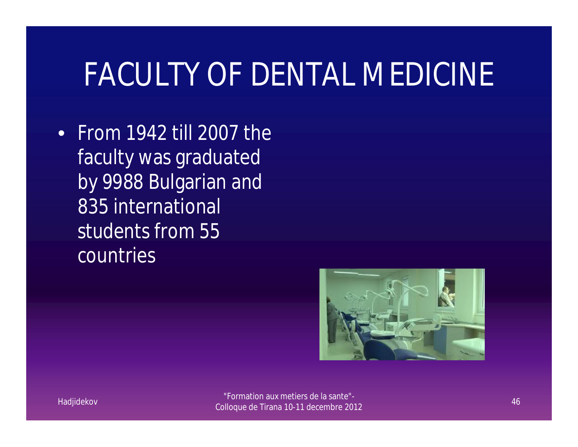• From 1942 till 2007 the faculty was graduated by 9988 Bulgarian and 835 international students from 55 countries

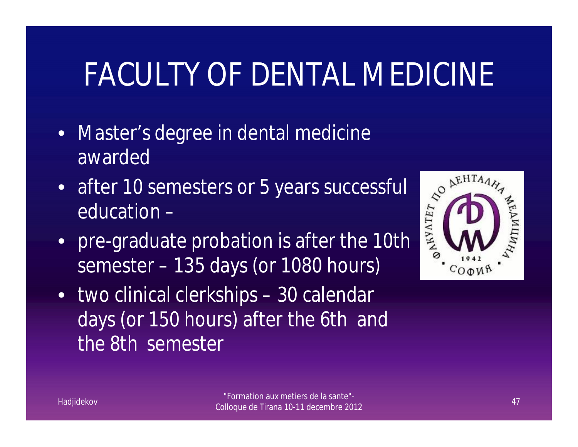- Master's degree in dental medicine awarded
- after 10 semesters or 5 years successful<br>education –<br>• pro-graduate probation is after the 10th education –
- pre-graduate probation is after the 10th semester – 135 days (or 1080 hours)
- two clinical clerkships 30 calendar days (or 150 hours) after the 6th and the 8th semester

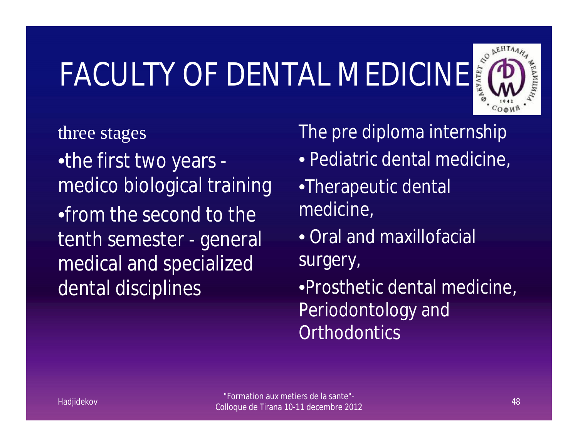

#### three stages

•the first two years medico biological training •from the second to the tenth semester - general medical and specialized dental disciplines

#### The pre diploma internship

- Pediatric dental medicine,
- •Therapeutic dental medicine,
- Oral and maxillofacial surgery,
- •Prosthetic dental medicine, Periodontology and **Orthodontics**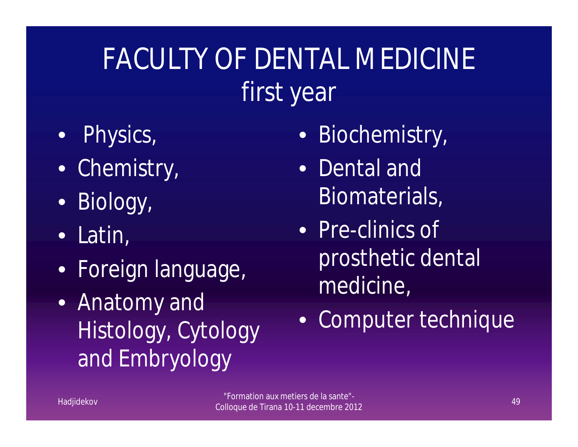#### FACULTY OF DENTAL MEDICINE first year

- Physics,
- Chemistry,
- Biology,
- Latin,
- Foreign language,
- Anatomy and Histology, Cytology and Embryology
- Biochemistry,
- Dental and Biomaterials,
- Pre-clinics of prosthetic dental medicine,
- Computer technique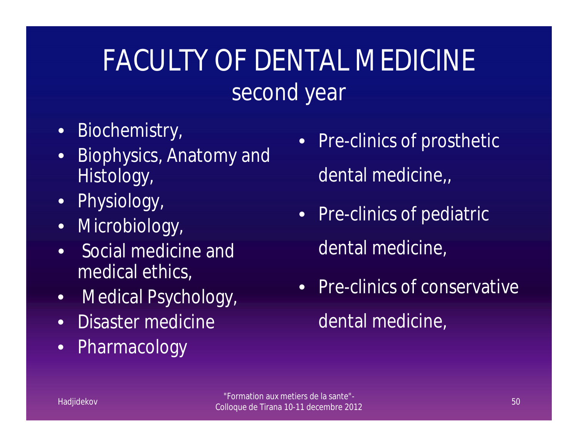#### FACULTY OF DENTAL MEDICINE second year

- Biochemistry,
- Biophysics, Anatomy and Histology,
- Physiology,
- Microbiology,
- Social medicine and medical ethics,
- Medical Psychology,
- Disaster medicine
- Pharmacology
- Pre-clinics of prosthetic dental medicine,,
- Pre-clinics of pediatric dental medicine,
- Pre-clinics of conservative dental medicine,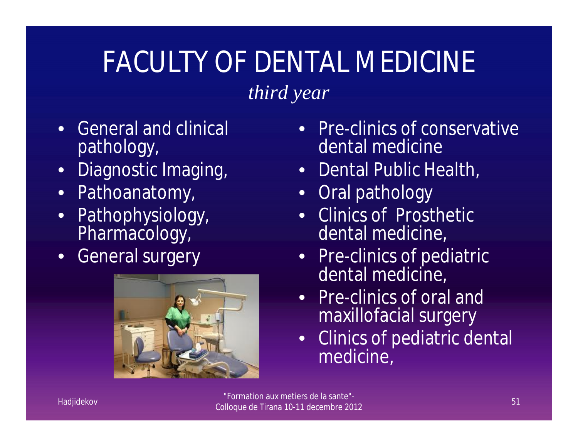*third year*

- General and clinical pathology,
- Diagnostic Imaging,
- Pathoanatomy,
- Pathophysiology, Pharmacology,
- General surgery



- Pre-clinics of conservative dental medicine
- Dental Public Health,
- Oral pathology
- Clinics of Prosthetic dental medicine,
- Pre-clinics of pediatric dental medicine,
- Pre-clinics of oral and maxillofacial surgery
- Clinics of pediatric dental medicine,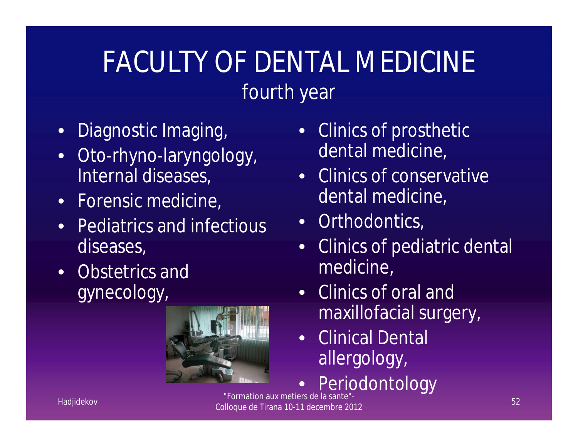#### FACULTY OF DENTAL MEDICINE fourth year

- Diagnostic Imaging,
- Oto-rhyno-laryngology, Internal diseases,
- Forensic medicine,
- Pediatrics and infectious diseases,
- Obstetrics and gynecology,



- Clinics of prosthetic dental medicine,
- Clinics of conservative dental medicine,
- Orthodontics,
- Clinics of pediatric dental medicine,
- Clinics of oral and maxillofacial surgery,
- Clinical Dental allergology,
- **Periodontology**

"Formation aux metiers de la sante" n ormation dux meticity de la same<br>Colloque de Tirana 10-11 decembre 2012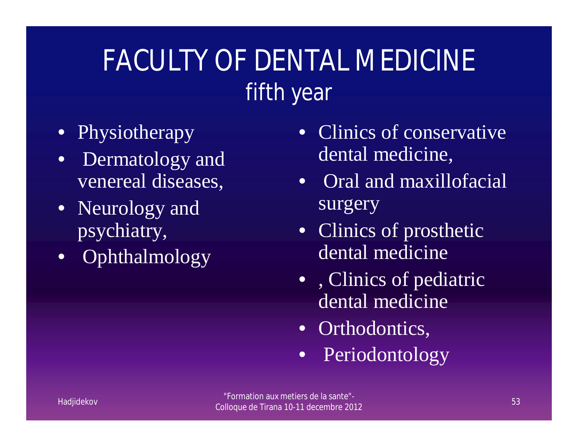#### FACULTY OF DENTAL MEDICINE fifth year

- Physiotherapy
- Dermatology and venereal diseases,
- Neurology and psychiatry,
- Ophthalmology
- Clinics of conservative dental medicine,
- Oral and maxillofacial surgery
- Clinics of prosthetic dental medicine
- , Clinics of pediatric dental medicine
- Orthodontics,
- **Periodontology**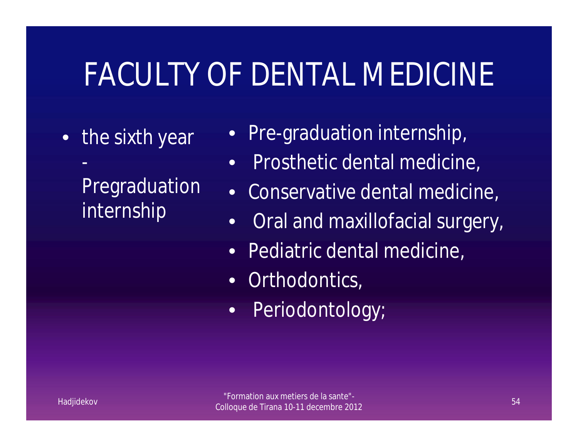• the sixth year

-

Pregraduation internship

- Pre-graduation internship,
- Prosthetic dental medicine,
- Conservative dental medicine,
- Oral and maxillofacial surgery,
- Pediatric dental medicine,
- Orthodontics,
- Periodontology;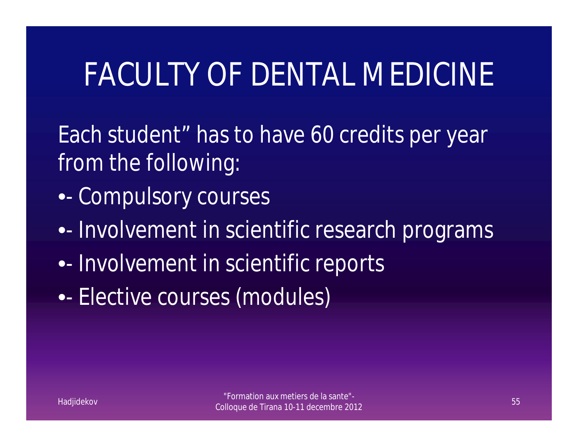Each student" has to have 60 credits per year from the following:

- •- Compulsory courses
- •- Involvement in scientific research programs
- •- Involvement in scientific reports
- •- Elective courses (modules)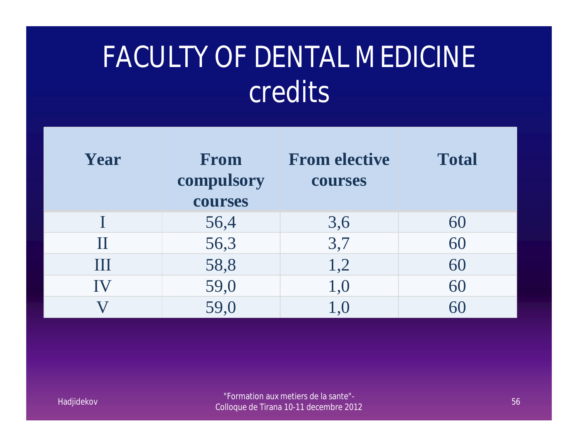#### FACULTY OF DENTAL MEDICINE credits

| Year    | <b>From</b><br>compulsory<br>courses | <b>From elective</b><br>courses | <b>Total</b> |
|---------|--------------------------------------|---------------------------------|--------------|
|         | 56,4                                 | 3,6                             | 60           |
| $\prod$ | 56,3                                 | 3,7                             | 60           |
| III     | 58,8                                 | 1,2                             | 60           |
| IV      | 59,0                                 | 1,0                             | 60           |
|         | 59,0                                 | $1{,}0$                         |              |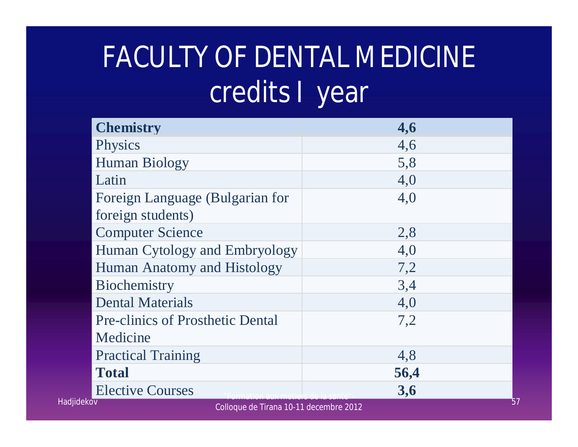# FACULTY OF DENTAL MEDICINE credits I year

| <b>Chemistry</b>                                   | 4,6  |
|----------------------------------------------------|------|
| Physics                                            | 4,6  |
| <b>Human Biology</b>                               | 5,8  |
| Latin                                              | 4,0  |
| Foreign Language (Bulgarian for                    | 4,0  |
| foreign students)                                  |      |
| <b>Computer Science</b>                            | 2,8  |
| Human Cytology and Embryology                      | 4,0  |
| <b>Human Anatomy and Histology</b>                 | 7,2  |
| Biochemistry                                       | 3,4  |
| <b>Dental Materials</b>                            | 4,0  |
| <b>Pre-clinics of Prosthetic Dental</b>            | 7,2  |
| Medicine                                           |      |
| <b>Practical Training</b>                          | 4,8  |
| <b>Total</b>                                       | 56,4 |
| <b>Elective Courses</b>                            | 3,6  |
| 57<br>ΟV<br>Colloque de Tirana 10-11 decembre 2012 |      |

Hadjidek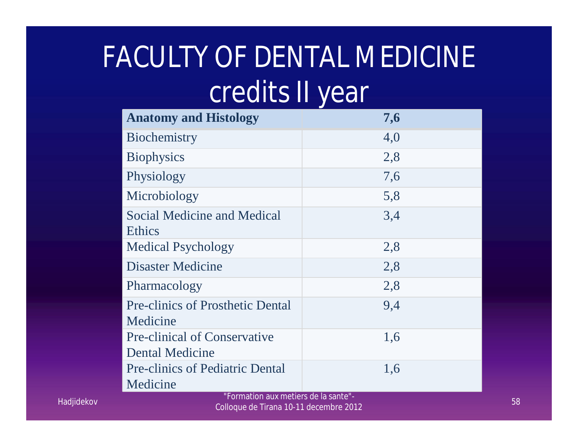### FACULTY OF DENTAL MEDICINE credits II year

| <b>Anatomy and Histology</b>                                  | 7,6 |  |
|---------------------------------------------------------------|-----|--|
| Biochemistry                                                  | 4,0 |  |
| <b>Biophysics</b>                                             | 2,8 |  |
| Physiology                                                    | 7,6 |  |
| Microbiology                                                  | 5,8 |  |
| <b>Social Medicine and Medical</b><br><b>Ethics</b>           | 3,4 |  |
| <b>Medical Psychology</b>                                     | 2,8 |  |
| <b>Disaster Medicine</b>                                      | 2,8 |  |
| Pharmacology                                                  | 2,8 |  |
| <b>Pre-clinics of Prosthetic Dental</b><br>Medicine           | 9,4 |  |
| <b>Pre-clinical of Conservative</b><br><b>Dental Medicine</b> | 1,6 |  |
| <b>Pre-clinics of Pediatric Dental</b><br>Medicine            | 1,6 |  |
| "Formation aux metiers de la sante"-                          |     |  |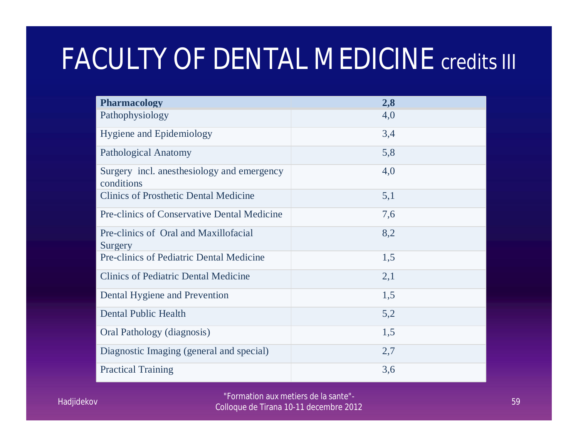#### **FACULTY OF DENTAL MEDICINE credits III**

| <b>Pharmacology</b>                                       | 2,8 |
|-----------------------------------------------------------|-----|
| Pathophysiology                                           | 4,0 |
| <b>Hygiene and Epidemiology</b>                           | 3,4 |
| <b>Pathological Anatomy</b>                               | 5,8 |
| Surgery incl. and sthesiology and emergency<br>conditions | 4,0 |
| <b>Clinics of Prosthetic Dental Medicine</b>              | 5,1 |
| <b>Pre-clinics of Conservative Dental Medicine</b>        | 7,6 |
| Pre-clinics of Oral and Maxillofacial<br>Surgery          | 8,2 |
| <b>Pre-clinics of Pediatric Dental Medicine</b>           | 1,5 |
| <b>Clinics of Pediatric Dental Medicine</b>               | 2,1 |
| Dental Hygiene and Prevention                             | 1,5 |
| <b>Dental Public Health</b>                               | 5,2 |
| Oral Pathology (diagnosis)                                | 1,5 |
| Diagnostic Imaging (general and special)                  | 2,7 |
| <b>Practical Training</b>                                 | 3,6 |

"Formation aux metiers de la sante"- Tomation aux metiers de la sante -<br>Colloque de Tirana 10-11 decembre 2012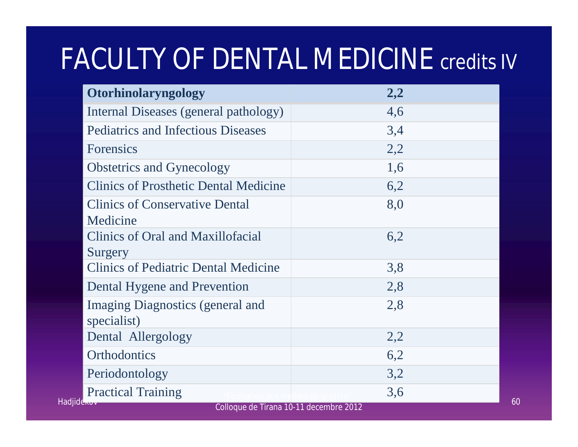#### FACULTY OF DENTAL MEDICINE credits IV

| Otorhinolaryngology                                                                      | 2,2       |
|------------------------------------------------------------------------------------------|-----------|
| Internal Diseases (general pathology)                                                    | 4,6       |
| <b>Pediatrics and Infectious Diseases</b>                                                | 3,4       |
| <b>Forensics</b>                                                                         | 2,2       |
| <b>Obstetrics and Gynecology</b>                                                         | 1,6       |
| <b>Clinics of Prosthetic Dental Medicine</b>                                             | 6,2       |
| <b>Clinics of Conservative Dental</b><br>Medicine                                        | 8,0       |
| Clinics of Oral and Maxillofacial<br>Surgery                                             | 6,2       |
| <b>Clinics of Pediatric Dental Medicine</b>                                              | 3,8       |
| Dental Hygene and Prevention                                                             | 2,8       |
| Imaging Diagnostics (general and<br>specialist)                                          | 2,8       |
| Dental Allergology                                                                       | 2,2       |
| <b>Orthodontics</b>                                                                      | 6,2       |
| Periodontology                                                                           | 3,2       |
| <b>Practical Training</b><br><b>Hadjidekov</b><br>Colloque de Tirana 10-11 decembre 2012 | 3,6<br>60 |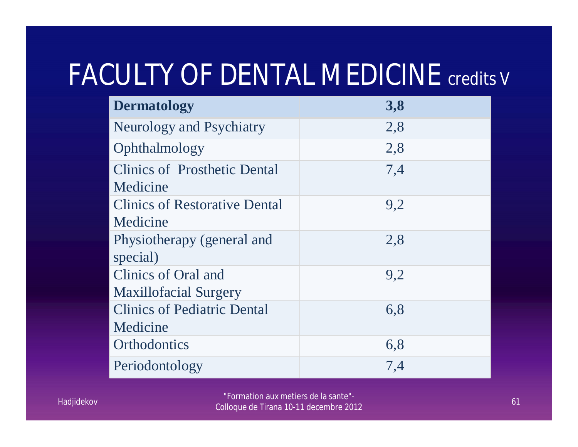#### FACULTY OF DENTAL MEDICINE credits V

| <b>Dermatology</b>                                  | 3,8 |
|-----------------------------------------------------|-----|
| <b>Neurology and Psychiatry</b>                     | 2,8 |
| Ophthalmology                                       | 2,8 |
| <b>Clinics of Prosthetic Dental</b><br>Medicine     | 7,4 |
| <b>Clinics of Restorative Dental</b><br>Medicine    | 9,2 |
| Physiotherapy (general and<br>special)              | 2,8 |
| Clinics of Oral and<br><b>Maxillofacial Surgery</b> | 9,2 |
| <b>Clinics of Pediatric Dental</b><br>Medicine      | 6,8 |
| <b>Orthodontics</b>                                 | 6,8 |
| Periodontology                                      | 7,4 |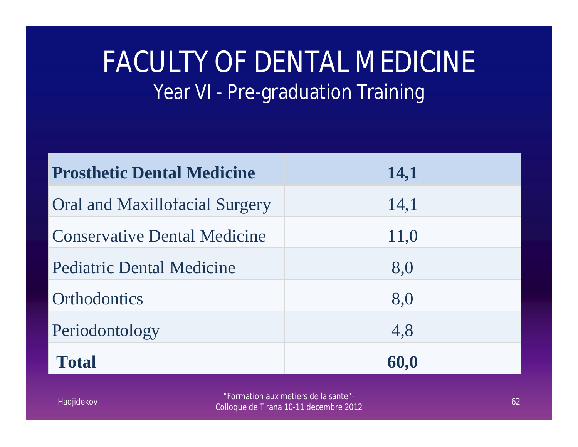#### FACULTY OF DENTAL MEDICINE Year VI - Pre-graduation Training

| <b>Prosthetic Dental Medicine</b>     | <b>14,1</b> |
|---------------------------------------|-------------|
| <b>Oral and Maxillofacial Surgery</b> | 14,1        |
| <b>Conservative Dental Medicine</b>   | 11,0        |
| <b>Pediatric Dental Medicine</b>      | 8,0         |
| <b>Orthodontics</b>                   | 8,0         |
| Periodontology                        | 4,8         |
| <b>Total</b>                          | 60,0        |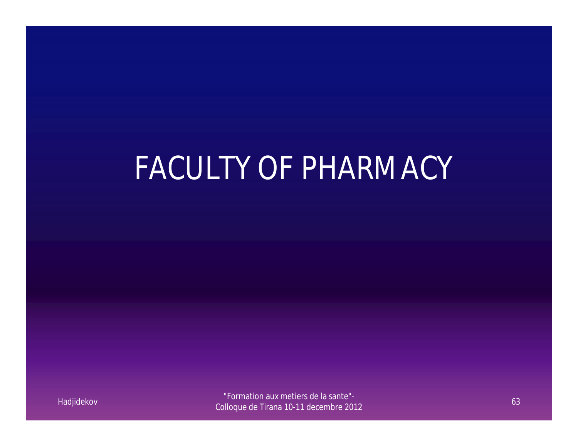# FACULTY OF PHARMACY

Hadjidekov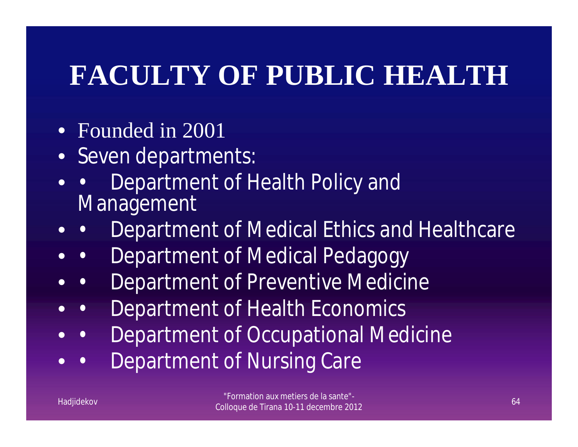- Founded in 2001
- Seven departments:
- • Department of Health Policy and **Management**
- • Department of Medical Ethics and Healthcare
- **Department of Medical Pedagogy**
- **Department of Preventive Medicine**
- • Department of Health Economics
- • Department of Occupational Medicine
- **Department of Nursing Care**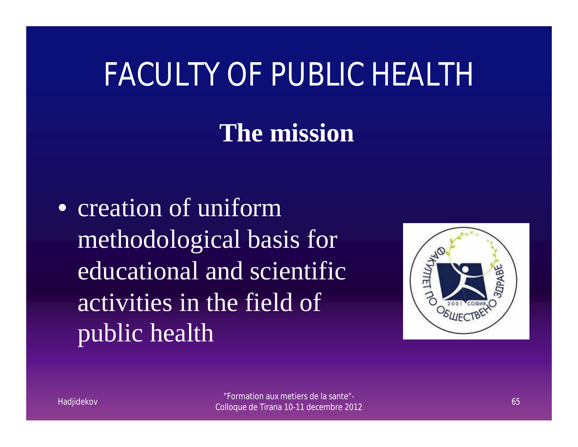#### **The mission**

• creation of uniform methodological basis for educational and scientific activities in the field of public health

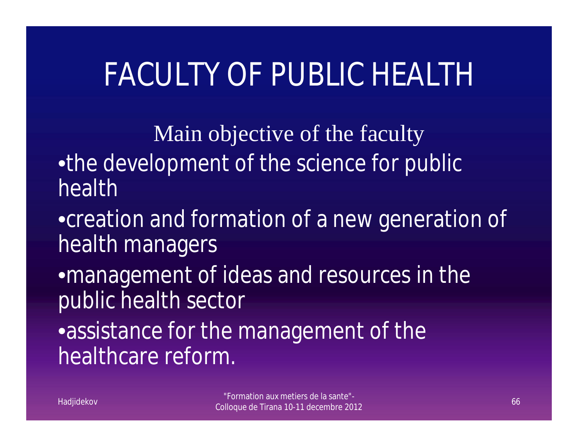Main objective of the faculty •the development of the science for public health •creation and formation of a new generation of health managers •management of ideas and resources in the public health sector •assistance for the management of the healthcare reform.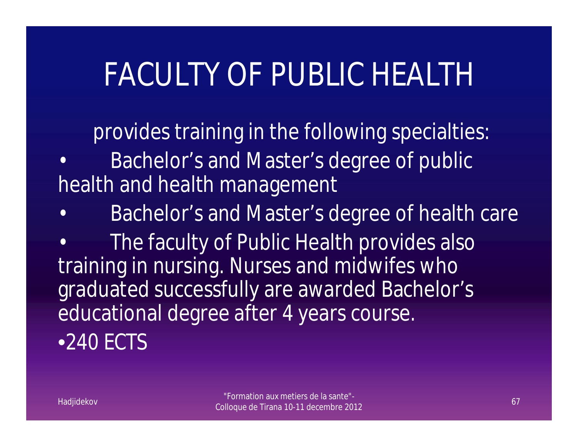provides training in the following specialties:

- Bachelor's and Master's degree of public health and health management
- Bachelor's and Master's degree of health care

The faculty of Public Health provides also training in nursing. Nurses and midwifes who graduated successfully are awarded Bachelor's educational degree after 4 years course. •240 ECTS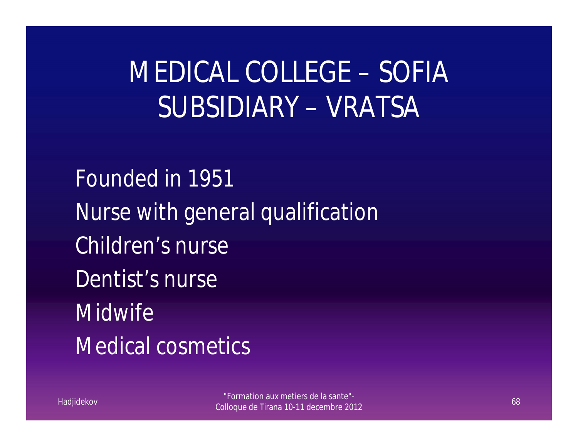#### MEDICAL COLLEGE – SOFIA SUBSIDIARY – VRATSA

Founded in 1951 Nurse with general qualification Children's nurse Dentist's nurse **Midwife** Medical cosmetics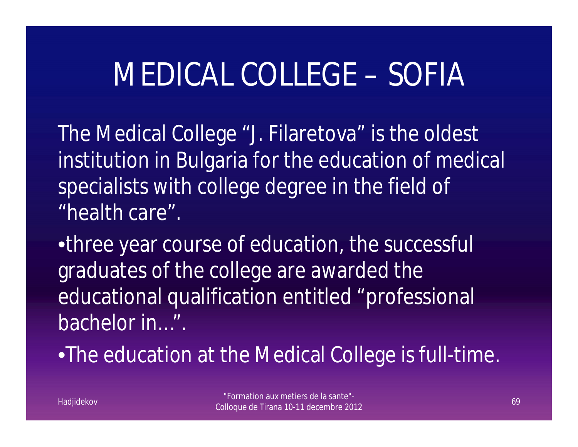#### MEDICAL COLLEGE – SOFIA

The Medical College "J. Filaretova" is the oldest institution in Bulgaria for the education of medical specialists with college degree in the field of "health care".

•three year course of education, the successful graduates of the college are awarded the educational qualification entitled "professional bachelor in…".

•The education at the Medical College is full-time.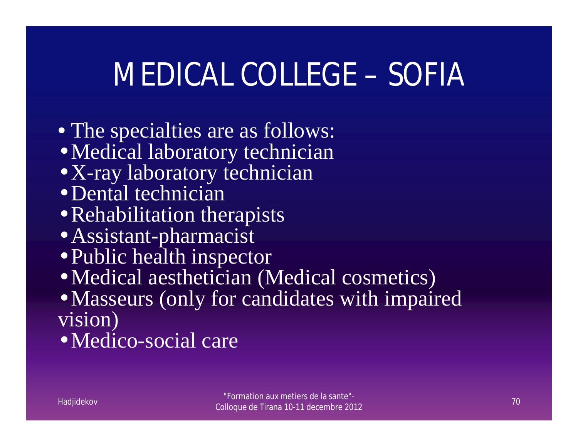### MEDICAL COLLEGE – SOFIA

• The specialties are as follows: • Medical laboratory technician • X-ray laboratory technician • Dental technician • Rehabilitation therapists •Assistant-pharmacist • Public health inspector • Medical aesthetician (Medical cosmetics) •Masseurs (only for candidates with impaired vision) •Medico-social care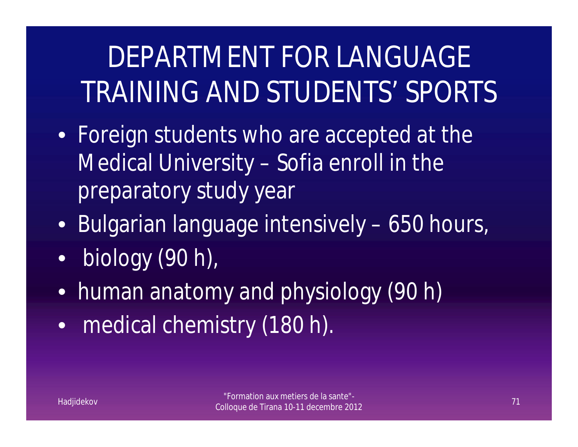### DEPARTMENT FOR LANGUAGE TRAINING AND STUDENTS' SPORTS

- Foreign students who are accepted at the Medical University – Sofia enroll in the preparatory study year
- Bulgarian language intensively 650 hours,
- biology (90 h),
- human anatomy and physiology (90 h)
- medical chemistry (180 h).